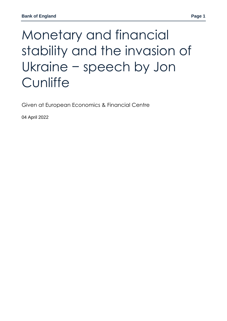# Monetary and financial stability and the invasion of Ukraine − speech by Jon **Cunliffe**

Given at European Economics & Financial Centre

04 April 2022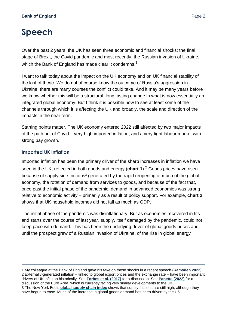## **Speech**

Over the past 2 years, the UK has seen three economic and financial shocks: the final stage of Brexit, the Covid pandemic and most recently, the Russian invasion of Ukraine, which the Bank of England has made clear it condemns.<sup>1</sup>

I want to talk today about the impact on the UK economy and on UK financial stability of the last of these. We do not of course know the outcome of Russia's aggression in Ukraine; there are many courses the conflict could take. And it may be many years before we know whether this will be a structural, long lasting change in what is now essentially an integrated global economy. But I think it is possible now to see at least some of the channels through which it is affecting the UK and broadly, the scale and direction of the impacts in the near term.

Starting points matter. The UK economy entered 2022 still affected by two major impacts of the path out of Covid – very high imported inflation, and a very tight labour market with strong pay growth.

## **Imported UK inflation**

 $\overline{a}$ 

Imported inflation has been the primary driver of the sharp increases in inflation we have seen in the UK, reflected in both goods and energy (**chart 1**). <sup>2</sup> Goods prices have risen because of supply side frictions<sup>3</sup> generated by the rapid reopening of much of the global economy, the rotation of demand from services to goods, and because of the fact that, once past the initial phase of the pandemic, demand in advanced economies was strong relative to economic activity – primarily as a result of policy support. For example, **chart 2** shows that UK household incomes did not fall as much as GDP.

The initial phase of the pandemic was disinflationary. But as economies recovered in fits and starts over the course of last year, supply, itself damaged by the pandemic, could not keep pace with demand. This has been the underlying driver of global goods prices and, until the prospect grew of a Russian invasion of Ukraine, of the rise in global energy

<sup>1</sup> My colleague at the Bank of England gave his take on these shocks in a recent speech **[\(Ramsden 2022\)](https://www.bankofengland.co.uk/-/media/boe/files/speech/2022/shocks-uncertainty-and-the-monetary-policy-response-speech-by-dave-ramsden.pdf?la=en&hash=32E2AF9FE31CDF8963E8F81F72886517FD1124F6).** 2 Externally-generated inflation – linked to global export prices and the exchange rate – have been important drivers of UK inflation historically. See **[Forbes et al. \(2017\)](https://www.bankofengland.co.uk/external-mpc-discussion-paper/2017/a-trendy-approach-to-uk-inflation-dynamics)** for a discussion. See **[Panetta \(2022\)](https://www.ecb.europa.eu/press/key/date/2022/html/ecb.sp220228~2ce9f09429.en.html)** for a discussion of the Euro Area, which is currently facing very similar developments to the UK. 3 The New York Fed's **[global supply chain index](https://libertystreeteconomics.newyorkfed.org/2022/03/global-supply-chain-pressure-index-march-2022-update/)** shows that supply frictions are still high, although they have begun to ease. Much of the increase in global goods demand has been driven by the US.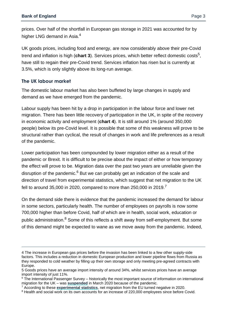prices. Over half of the shortfall in European gas storage in 2021 was accounted for by higher LNG demand in Asia.<sup>4</sup>

UK goods prices, including food and energy, are now considerably above their pre-Covid trend and inflation is high (**chart 3**). Services prices, which better reflect domestic costs<sup>5</sup>, have still to regain their pre-Covid trend. Services inflation has risen but is currently at 3.5%, which is only slightly above its long-run average.

## **The UK labour market**

 $\overline{a}$ 

The domestic labour market has also been buffeted by large changes in supply and demand as we have emerged from the pandemic.

Labour supply has been hit by a drop in participation in the labour force and lower net migration. There has been little recovery of participation in the UK, in spite of the recovery in economic activity and employment (**chart 4**). It is still around 1% (around 350,000 people) below its pre-Covid level. It is possible that some of this weakness will prove to be structural rather than cyclical, the result of changes in work and life preferences as a result of the pandemic.

Lower participation has been compounded by lower migration either as a result of the pandemic or Brexit. It is difficult to be precise about the impact of either or how temporary the effect will prove to be. Migration data over the past two years are unreliable given the disruption of the pandemic. $6$  But we can probably get an indication of the scale and direction of travel from experimental statistics, which suggest that net migration to the UK fell to around 35,000 in 2020, compared to more than 250,000 in 2019.<sup>7</sup>

On the demand side there is evidence that the pandemic increased the demand for labour in some sectors, particularly health. The number of employees on payrolls is now some 700,000 higher than before Covid, half of which are in health, social work, education or public administration.<sup>8</sup> Some of this reflects a shift away from self-employment. But some of this demand might be expected to wane as we move away from the pandemic. Indeed,

<sup>4</sup> The increase in European gas prices before the invasion has been linked to a few other supply-side factors. This includes a reduction in domestic European production and lower pipeline flows from Russia as they responded to cold weather by filling up their own storage and only meeting pre-agreed contracts with Europe.

<sup>5</sup> Goods prices have an average import intensity of around 34%, whilst services prices have an average import intensity of just 11%.

 $6$  The International Passenger Survey – historically the most important source of information on international migration for the UK – was **[suspended](https://www.ons.gov.uk/news/statementsandletters/theimpactofsuspendingtheinternationalpassengersurveyonuktradeandoverseastravelandtourismstatistics)** in March 2020 because of the pandemic.

<sup>7</sup> According to these **[experimental statistics](https://www.ons.gov.uk/peoplepopulationandcommunity/populationandmigration/internationalmigration/bulletins/longterminternationalmigrationprovisional/yearendingdecember2020#measuring-the-data)**, net migration from the EU turned negative in 2020.

<sup>&</sup>lt;sup>8</sup> Health and social work on its own accounts for an increase of 220,000 employees since before Covid.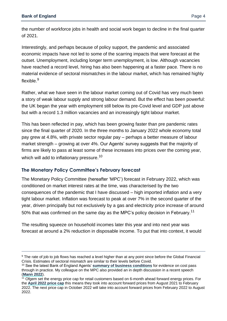$\overline{a}$ 

the number of workforce jobs in health and social work began to decline in the final quarter of 2021.

Interestingly, and perhaps because of policy support, the pandemic and associated economic impacts have not led to some of the scarring impacts that were forecast at the outset. Unemployment, including longer term unemployment, is low. Although vacancies have reached a record level, hiring has also been happening at a faster pace. There is no material evidence of sectoral mismatches in the labour market, which has remained highly flexible.<sup>9</sup>

Rather, what we have seen in the labour market coming out of Covid has very much been a story of weak labour supply and strong labour demand. But the effect has been powerful: the UK began the year with employment still below its pre-Covid level and GDP just above but with a record 1.3 million vacancies and an increasingly tight labour market.

This has been reflected in pay, which has been growing faster than pre pandemic rates since the final quarter of 2020. In the three months to January 2022 whole economy total pay grew at 4.8%, with private sector regular pay – perhaps a better measure of labour market strength – growing at over 4%. Our Agents' survey suggests that the majority of firms are likely to pass at least some of these increases into prices over the coming year, which will add to inflationary pressure.<sup>10</sup>

## **The Monetary Policy Committee's February forecast**

The Monetary Policy Committee (hereafter 'MPC') forecast in February 2022, which was conditioned on market interest rates at the time, was characterised by the two consequences of the pandemic that I have discussed – high imported inflation and a very tight labour market. Inflation was forecast to peak at over 7% in the second quarter of the year, driven principally but not exclusively by a gas and electricity price increase of around 50% that was confirmed on the same day as the MPC's policy decision in February.<sup>11</sup>

The resulting squeeze on household incomes later this year and into next year was forecast at around a 2% reduction in disposable income. To put that into context, it would

<sup>&</sup>lt;sup>9</sup> The rate of job to job flows has reached a level higher than at any point since before the Global Financial Crisis. Estimates of sectoral mismatch are similar to their levels before Covid.

<sup>10</sup> See the latest Bank of England Agents' **[summary of business conditions](https://www.bankofengland.co.uk/agents-summary/2021/2021-q4)** for evidence on cost pass through in practice. My colleague on the MPC also provided an in depth discussion in a recent speech (**[Mann 2022](https://www.bankofengland.co.uk/-/media/boe/files/speech/2022/on-returning-inflation-back-to-target-speech-by-catherine-l-mann.pdf?la=en&hash=F009C230DB392B806FBEC2BC0BEBD1A810750A0D)**).

 $11$  Ofgem set the energy price cap for retail customers based on 6-month ahead forward energy prices. For the **[April 2022 price cap](https://www.ofgem.gov.uk/publications/overview-4-february-2022-price-cap-decisions)** this means they took into account forward prices from August 2021 to February 2022. The next price cap in October 2022 will take into account forward prices from February 2022 to August 2022.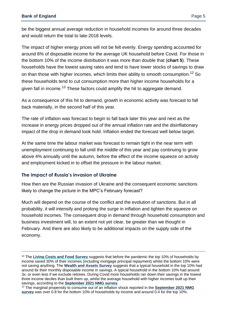be the biggest annual average reduction in household incomes for around three decades and would return the total to late-2018 levels.

The impact of higher energy prices will not be felt evenly. Energy spending accounted for around 6% of disposable income for the average UK household before Covid. For those in the bottom 10% of the income distribution it was more than double that (**chart 5**). These households have the lowest saving rates and tend to have lower stocks of savings to draw on than those with higher incomes, which limits their ability to smooth consumption.<sup>12</sup> So these households tend to cut consumption more than higher income households for a given fall in income.<sup>13</sup> These factors could amplify the hit to aggregate demand.

As a consequence of this hit to demand, growth in economic activity was forecast to fall back materially, in the second half of this year.

The rate of inflation was forecast to begin to fall back later this year and next as the increase in energy prices dropped out of the annual inflation rate and the disinflationary impact of the drop in demand took hold. Inflation ended the forecast well below target.

At the same time the labour market was forecast to remain tight in the near term with unemployment continuing to fall until the middle of this year and pay continuing to grow above 4% annually until the autumn, before the effect of the income squeeze on activity and employment kicked in to offset the pressure in the labour market.

## **The impact of Russia's invasion of Ukraine**

 $\overline{a}$ 

How then are the Russian invasion of Ukraine and the consequent economic sanctions likely to change the picture in the MPC's February forecast?

Much will depend on the course of the conflict and the evolution of sanctions. But in all probability, it will intensify and prolong the surge in inflation and tighten the squeeze on household incomes. The consequent drop in demand through household consumption and business investment will, to an extent not yet clear, be greater than we thought in February. And there are also likely to be additional impacts on the supply side of the economy.

<sup>&</sup>lt;sup>12</sup> The [Living Costs and Food Survey](https://www.ons.gov.uk/peoplepopulationandcommunity/personalandhouseholdfinances/incomeandwealth/methodologies/livingcostsandfoodsurvey) suggests that before the pandemic the top 10% of households by income saved 30% of their incomes (including mortgage principal repayment) whilst the bottom 10% were not saving anything. The **[Wealth and Assets Survey](https://www.ons.gov.uk/peoplepopulationandcommunity/personalandhouseholdfinances/debt/methodologies/wealthandassetssurveyqmi)** suggests that a typical household in the top 10% had around 8x their monthly disposable income in savings. A typical household in the bottom 10% had around 3x, or even less if we exclude retirees. During Covid more households ran down their savings in the lowest three income deciles than built them up, whilst the average household with higher incomes built up their savings, according to the **[September 2021 NMG survey](https://www.bankofengland.co.uk/statistics/research-datasets)**.

<sup>13</sup> The marginal propensity to consume out of an inflation shock reported in the **[September 2021 NMG](https://www.bankofengland.co.uk/statistics/research-datasets)  [survey](https://www.bankofengland.co.uk/statistics/research-datasets)** was over 0.8 for the bottom 10% of households by income and around 0.4 for the top 10%.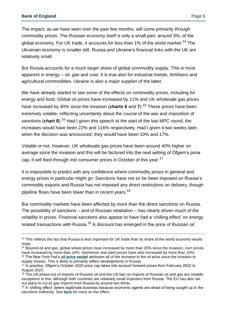$\overline{a}$ 

The impact, as we have seen over the past few months, will come primarily through commodity prices. The Russian economy itself is only a small part, around 3%, of the global economy. For UK trade, it accounts for less than 1% of the world market.<sup>14</sup> The Ukrainian economy is smaller still. Russia and Ukraine's financial links with the UK are relatively small.

But Russia accounts for a much larger share of global commodity supply. This is most apparent in energy – oil, gas and coal. It is true also for industrial metals, fertilisers and agricultural commodities. Ukraine is also a major supplier of the latter.

We have already started to see some of the effects on commodity prices, including for energy and food. Global oil prices have increased by 11% and UK wholesale gas prices have increased by 40% since the invasion (**charts 6** and **7**). <sup>15</sup> These prices have been extremely volatile, reflecting uncertainty about the course of the war and imposition of sanctions (**chart 8**). <sup>16</sup> Had I given this speech at the start of the last MPC round, the increases would have been 22% and 116% respectively. Had I given it two weeks later, when the decision was announced, they would have been 10% and 17%.

Volatile or not, however, UK wholesale gas prices have been around 40% higher on average since the invasion and this will be factored into the next setting of Ofgem's price cap. It will feed through into consumer prices in October of this year.<sup>17</sup>

It is impossible to predict with any confidence where commodity prices in general and energy prices in particular might go. Sanctions have not so far been imposed on Russia's commodity exports and Russia has not imposed any direct restrictions on delivery, though pipeline flows have been lower than in recent years.<sup>18</sup>

But commodity markets have been affected by more than the direct sanctions on Russia. The possibility of sanctions – and of Russian retaliation – has clearly driven much of the volatility in prices. Financial sanctions also appear to have had a 'chilling effect' on energy related transactions with Russia.<sup>19</sup> A discount has emerged in the price of Russian oil

<sup>&</sup>lt;sup>14</sup> This reflects the fact that Russia is less important for UK trade than its share of the world economy would imply.

<sup>&</sup>lt;sup>15</sup> Beyond oil and gas, global wheat prices have increased by more than 20% since the invasion, corn prices have increased by more than 10%. Aluminium and steel prices have also increased by more than 10%. <sup>16</sup> The New York Fed's **[oil price model](https://www.newyorkfed.org/research/policy/oil_price_dynamics_report)** attributes all of the increase in the oil price since the invasion to supply shocks. This is likely to primarily reflect developments in Russia.

<sup>&</sup>lt;sup>17</sup> In practice, Ofgem's October 2022 price cap takes into account forward prices from February 2022 to August 2022.

<sup>&</sup>lt;sup>18</sup> The UK phase-out of imports of Russian oil and the US ban on imports of Russian oil and gas are notable exceptions to this, although both countries are relatively small importers from Russia. The EU has also set out plans to cut its gas imports from Russia by around two thirds.

 $19$  A 'chilling effect' deters legitimate business because economic agents are afraid of being caught up in the sanctions indirectly. See **[here](https://www.ft.com/content/97c07bd5-4d57-44bf-8ac1-09f1879b97c7)** for more on the effect.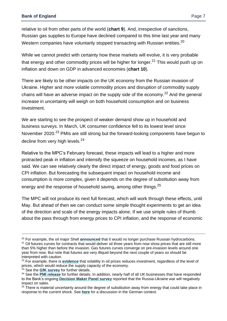relative to oil from other parts of the world (**chart 9**). And, irrespective of sanctions, Russian gas supplies to Europe have declined compared to this time last year and many Western companies have voluntarily stopped transacting with Russian entities.<sup>20</sup>

While we cannot predict with certainty how these markets will evolve, it is very probable that energy and other commodity prices will be higher for longer.<sup>21</sup> This would push up on inflation and down on GDP in advanced economies (**chart 10**).

There are likely to be other impacts on the UK economy from the Russian invasion of Ukraine. Higher and more volatile commodity prices and disruption of commodity supply chains will have an adverse impact on the supply side of the economy.<sup>22</sup> And the general increase in uncertainty will weigh on both household consumption and on business investment.

We are starting to see the prospect of weaker demand show up in household and business surveys. In March, UK consumer confidence fell to its lowest level since November 2020.<sup>23</sup> PMIs are still strong but the forward-looking components have begun to decline from very high levels.<sup>24</sup>

Relative to the MPC's February forecast, these impacts will lead to a higher and more protracted peak in inflation and intensify the squeeze on household incomes, as I have said. We can see relatively clearly the direct impact of energy, goods and food prices on CPI inflation. But forecasting the subsequent impact on household income and consumption is more complex, given it depends on the degree of substitution away from energy and the response of household saving, among other things.<sup>25</sup>

The MPC will not produce its next full forecast, which will work through these effects, until May. But ahead of then we can conduct some simple thought experiments to get an idea of the direction and scale of the energy impacts alone. If we use simple rules of thumb about the pass through from energy prices to CPI inflation, and the response of economic

<sup>21</sup> Oil futures curves for contracts that would deliver oil three years from now show prices that are still more than 5% higher than before the invasion. Gas futures curves converge on pre-invasion levels around one year from now. But note that futures are very illiquid beyond the next couple of years so should be interpreted with caution.

<sup>23</sup> See the **[GfK survey](https://www.gfk.com/en-gb/products/gfk-consumer-confidence-barometer)** for further details.

 $\overline{a}$ 

<sup>20</sup> For example, the oil major Shell **[announced](https://www.reuters.com/business/energy/shell-withdraw-russian-oil-gas-2022-03-08/)** that it would no longer purchase Russian hydrocarbons.

<sup>22</sup> For example, there is **[evidence](https://papers.ssrn.com/sol3/papers.cfm?abstract_id=908675.)** that volatility in oil prices reduces investment, regardless of the level of prices, which would reduce the supply capacity of the economy.

<sup>24</sup> See the **[PMI release](https://www.cips.org/who-we-are/news/faster-service-sector-growth-boosts-uk-economy-in-march-but-prices-charged-inflation-hits-record-high-and-business-optimism-slumps-to-17-month-low-/)** for further details. In addition, nearly half of all UK businesses that have responded to the Bank's ongoing **[Decision Maker Panel survey](https://decisionmakerpanel.co.uk/)** reported that the Russia-Ukraine war will negatively impact on sales.

 $25$  There is material uncertainty around the degree of substitution away from energy that could take place in response to the current shock. See **[here](https://voxeu.org/article/what-if-germany-cut-russian-energy)** for a discussion in the German context.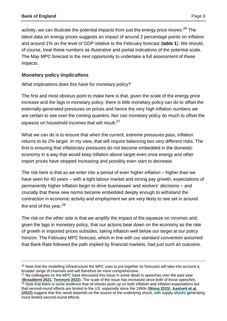$\overline{a}$ 

activity, we can illustrate the potential impacts from just the energy price moves.  $26$  The latest data on energy prices suggests an impact of around 2 percentage points on inflation and around 1% on the level of GDP relative to the February forecast (**table 1**). We should, of course, treat these numbers as illustrative and partial indications of the potential scale. The May MPC forecast is the next opportunity to undertake a full assessment of these impacts.

## **Monetary policy implications**

What implications does this have for monetary policy?

The first and most obvious point to make here is that, given the scale of the energy price increase and the lags in monetary policy, there is little monetary policy can do to offset the externally-generated pressures on prices and hence the very high inflation numbers we are certain to see over the coming quarters. Nor can monetary policy do much to offset the squeeze on household incomes that will result.<sup>27</sup>

What we can do is to ensure that when the current, extreme pressures pass, inflation returns to its 2% target. In my view, that will require balancing two very different risks. The first is ensuring that inflationary pressures do not become embedded in the domestic economy in a way that would keep inflation above target even once energy and other import prices have stopped increasing and possibly even start to decrease.

The risk here is that as we enter into a period of even higher inflation – higher than we have seen for 40 years – with a tight labour market and strong pay growth, expectations of permanently higher inflation begin to drive businesses' and workers' decisions – and crucially that these new norms became embedded deeply enough to withstand the contraction in economic activity and employment we are very likely to see set in around the end of this year. $^{28}$ 

The risk on the other side is that we amplify the impact of the squeeze on incomes and, given the lags in monetary policy, that our actions bear down on the economy as the rate of growth in imported prices subsides, taking inflation well below our target at our policy horizon. The February MPC forecast, which in line with our standard convention assumed that Bank Rate followed the path implied by financial markets, had just such an outcome.

<sup>&</sup>lt;sup>26</sup> Note that the modelling infrastructure the MPC uses to put together its forecasts will take into account a broader range of channels and will therefore be more comprehensive.

<sup>&</sup>lt;sup>27</sup> My colleagues on the MPC have discussed this issue in some detail in speeches over the past year (**[Broadbent 2021](https://www.bankofengland.co.uk/-/media/boe/files/speech/2021/december/lags-trade-offs-and-the-challenges-facing-monetary-policy-speech-by-ben-broadbent.pdf?la=en&hash=D8CDECB9AFF06D2ACD062C4EEFBC4B20D5343384)**, **[Tenreyro 2022](https://www.bankofengland.co.uk/-/media/boe/files/speech/2022/the-economy-and-policy-trade-offs-speech-by-silvana-tenreyro.pdf?la=en&hash=A8423B33372FA0C9A8500EAA47068B2F7B555CAC)**). The scale of the issue has increased since both of those speeches. <sup>28</sup> Note that there is some evidence that oil shocks push up on both inflation and inflation expectations but that second-round effects are limited in the US, especially since the 1990s (**[Wong 2015](https://onlinelibrary.wiley.com/doi/full/10.1111/jmcb.12288)**). **[Aastveit et al.](https://direct.mit.edu/rest/article-abstract/doi/10.1162/rest_a_01073/102826/Inflation-Expectations-and-the-Pass-Through-of-Oil?redirectedFrom=fulltext)  [\(2022\)](https://direct.mit.edu/rest/article-abstract/doi/10.1162/rest_a_01073/102826/Inflation-Expectations-and-the-Pass-Through-of-Oil?redirectedFrom=fulltext)** suggest that this result depends on the source of the underlying shock, with supply shocks generating more limited second-round effects.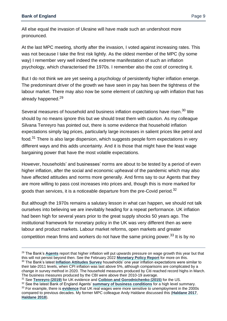$\overline{a}$ 

All else equal the invasion of Ukraine will have made such an undershoot more pronounced.

At the last MPC meeting, shortly after the invasion, I voted against increasing rates. This was not because I take the first risk lightly. As the oldest member of the MPC (by some way) I remember very well indeed the extreme manifestation of such an inflation psychology, which characterised the 1970s. I remember also the cost of correcting it.

But I do not think we are yet seeing a psychology of persistently higher inflation emerge. The predominant driver of the growth we have seen in pay has been the tightness of the labour market. There may also now be some element of catching up with inflation that has already happened.<sup>29</sup>

Several measures of household and business inflation expectations have risen.<sup>30</sup> We should by no means ignore this but we should treat them with caution. As my colleague Silvana Tenreyro has pointed out, there is some evidence that household inflation expectations simply lag prices, particularly large increases in salient prices like petrol and food.<sup>31</sup> There is also large dispersion, which suggests people form expectations in very different ways and this adds uncertainty. And it is those that might have the least wage bargaining power that have the most volatile expectations.

However, households' and businesses' norms are about to be tested by a period of even higher inflation, after the social and economic upheaval of the pandemic which may also have affected attitudes and norms more generally. And firms say to our Agents that they are more willing to pass cost increases into prices and, though this is more marked for goods than services, it is a noticeable departure from the pre-Covid period.<sup>32</sup>

But although the 1970s remains a salutary lesson in what can happen, we should not talk ourselves into believing we are inevitably heading for a repeat performance. UK inflation had been high for several years prior to the great supply shocks 50 years ago. The institutional framework for monetary policy in the UK was very different then as were labour and product markets. Labour market reforms, open markets and greater competition mean firms and workers do not have the same pricing power.<sup>33</sup> It is by no

<sup>29</sup> The Bank's **[Agents](https://www.bankofengland.co.uk/about/people/agents)** report that higher inflation will put upwards pressure on wage growth this year but that this will not persist beyond then. See the February 2022 **[Monetary Policy Report](https://www.bankofengland.co.uk/-/media/boe/files/monetary-policy-report/2022/february/monetary-policy-report-february-2022.pdf)** for more on this. <sup>30</sup> The Bank's latest **[Inflation Attitudes Survey](https://www.bankofengland.co.uk/inflation-attitudes-survey/2022/february-2022)** households' one year inflation expectations were similar to their late-2011 levels, when CPI inflation was last above 5%, although comparisons are complicated by a change in survey method in 2020. The household measures produced by Citi reached record highs in March. The business measures produced by the CBI were above their 2010-19 average.

<sup>31</sup> See **[Tenreyro \(2019\)](https://www.bankofengland.co.uk/-/media/boe/files/speech/2019/understanding-inflation-expectations-and-reality.pdf?la=en&hash=829B8D3C6D0010961A1067F56ABC6E4CA6FD0BD3)** for UK evidence and **[Coibion and Gorodnichenko \(2015\)](https://www.aeaweb.org/articles?id=10.1257/mac.20130306)** for the US.

<sup>32</sup> See the latest Bank of England Agents' **[summary of business conditions](https://www.bankofengland.co.uk/agents-summary/2021/2021-q4)** for a high level summary. <sup>33</sup> For example, there is **[evidence](https://www.resolutionfoundation.org/publications/drag-chilling-impact-unemployment-real-wages/)** that UK real wages were more sensitive to unemployment in the 2000s compared to previous decades. My former MPC colleague Andy Haldane discussed this (**[Haldane 2017](https://www.bankofengland.co.uk/-/media/boe/files/speech/2017/work-wages-and-monetary-policy.pdf?la=en&hash=08C85332E6B0C5D0DD5A5ECBFE9B8E247EBE19F9)**, **[Haldane 2018](https://www.bankofengland.co.uk/-/media/boe/files/speech/2018/pay-power-speech-by-andy-haldane.pdf)**).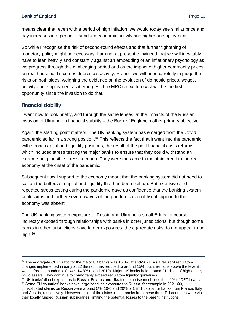means clear that, even with a period of high inflation, we would today see similar price and pay increases in a period of subdued economic activity and higher unemployment.

So while I recognise the risk of second-round effects and that further tightening of monetary policy might be necessary, I am not at present convinced that we will inevitably have to lean heavily and constantly against an embedding of an inflationary psychology as we progress through this challenging period and as the impact of higher commodity prices on real household incomes depresses activity. Rather, we will need carefully to judge the risks on both sides, weighing the evidence on the evolution of domestic prices, wages, activity and employment as it emerges. The MPC's next forecast will be the first opportunity since the invasion to do that.

## **Financial stability**

 $\overline{a}$ 

I want now to look briefly, and through the same lenses, at the impacts of the Russian invasion of Ukraine on financial stability – the Bank of England's other primary objective.

Again, the starting point matters. The UK banking system has emerged from the Covid pandemic so far in a strong position.<sup>34</sup> This reflects the fact that it went into the pandemic with strong capital and liquidity positions, the result of the post financial crisis reforms which included stress testing the major banks to ensure that they could withstand an extreme but plausible stress scenario. They were thus able to maintain credit to the real economy at the onset of the pandemic.

Subsequent fiscal support to the economy meant that the banking system did not need to call on the buffers of capital and liquidity that had been built up. But extensive and repeated stress testing during the pandemic gave us confidence that the banking system could withstand further severe waves of the pandemic even if fiscal support to the economy was absent.

The UK banking system exposure to Russia and Ukraine is small.<sup>35</sup> It is, of course, indirectly exposed through relationships with banks in other jurisdictions, but though some banks in other jurisdictions have larger exposures, the aggregate risks do not appear to be high.<sup>36</sup>

<sup>&</sup>lt;sup>34</sup> The aggregate CET1 ratio for the major UK banks was 16.3% at end-2021. As a result of regulatory changes implemented in early 2022 the ratio has reduced to around 15%, but it remains above the level it was before the pandemic (it was 14.8% at end-2019). Major UK banks hold around £1 trillion of high-quality liquid assets. They continue to comfortably exceed regulatory liquidity guidelines.

<sup>&</sup>lt;sup>35</sup> UK banks' direct exposures to Russia, Belarus and Ukraine comprise much less than 1% of CET1 capital. <sup>36</sup> Some EU countries' banks have large headline exposures to Russia: for example in 2021 Q3,

consolidated claims on Russia were around 5%, 10% and 20% of CET1 capital for banks from France, Italy and Austria, respectively. However, most of the claims of the banks from these three EU countries were via their locally funded Russian subsidiaries, limiting the potential losses to the parent institutions.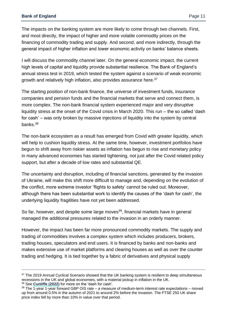The impacts on the banking system are more likely to come through two channels. First, and most directly, the impact of higher and more volatile commodity prices on the financing of commodity trading and supply. And second, and more indirectly, through the general impact of higher inflation and lower economic activity on banks' balance sheets.

I will discuss the commodity channel later. On the general economic impact, the current high levels of capital and liquidity provide substantial resilience. The Bank of England's annual stress test in 2019, which tested the system against a scenario of weak economic growth and relatively high inflation, also provides assurance here.<sup>37</sup>

The starting position of non-bank finance, the universe of investment funds, insurance companies and pension funds and the financial markets that serve and connect them, is more complex. The non-bank financial system experienced major and very disruptive liquidity stress at the onset of the Covid crisis in March 2020. This run – the so called 'dash for cash' – was only broken by massive injections of liquidity into the system by central banks.<sup>38</sup>

The non-bank ecosystem as a result has emerged from Covid with greater liquidity, which will help to cushion liquidity stress. At the same time, however, investment portfolios have begun to shift away from riskier assets as inflation has begun to rise and monetary policy in many advanced economies has started tightening, not just after the Covid related policy support, but after a decade of low rates and substantial QE.

The uncertainty and disruption, including of financial sanctions, generated by the invasion of Ukraine, will make this shift more difficult to manage and, depending on the evolution of the conflict, more extreme investor 'flights to safety' cannot be ruled out. Moreover, although there has been substantial work to identify the causes of the 'dash for cash', the underlying liquidity fragilities have not yet been addressed.

So far, however, and despite some large moves<sup>39</sup>, financial markets have in general managed the additional pressures related to the invasion in an orderly manner.

However, the impact has been far more pronounced commodity markets. The supply and trading of commodities involves a complex system which includes producers, brokers, trading houses, speculators and end users. It is financed by banks and non-banks and makes extensive use of market platforms and clearing houses as well as over the counter trading and hedging. It is tied together by a fabric of derivatives and physical supply

<sup>38</sup> See **[Cunliffe \(2022\)](https://www.bankofengland.co.uk/-/media/boe/files/speech/2022/the-state-of-financial-stability-speech-by-jon-cunliffe.pdf?la=en&hash=10A3B7B12901EAA7CDD3B2F4970FA27F97477BFB)** for more on the 'dash for cash'.

 $\overline{a}$ 

<sup>&</sup>lt;sup>37</sup> The 2019 Annual Cyclical Scenario showed that the UK banking system is resilient to deep simultaneous recessions in the UK and global economies, with a material pickup in inflation in the UK.

 $39$  The  $1$ -year 1-year forward GBP OIS rate – a measure of medium-term interest rate expectations – moved up from around 0.5% in the autumn of 2021 to around 2% before the invasion. The FTSE 250 UK share price index fell by more than 10% in value over that period.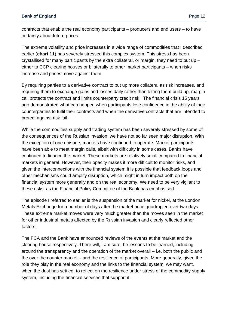contracts that enable the real economy participants – producers and end users – to have certainty about future prices.

The extreme volatility and price increases in a wide range of commodities that I described earlier (**chart 11**) has severely stressed this complex system. This stress has been crystallised for many participants by the extra collateral, or margin, they need to put up – either to CCP clearing houses or bilaterally to other market participants – when risks increase and prices move against them.

By requiring parties to a derivative contract to put up more collateral as risk increases, and requiring them to exchange gains and losses daily rather than letting them build up, margin call protects the contract and limits counterparty credit risk. The financial crisis 15 years ago demonstrated what can happen when participants lose confidence in the ability of their counterparties to fulfil their contracts and when the derivative contracts that are intended to protect against risk fail.

While the commodities supply and trading system has been severely stressed by some of the consequences of the Russian invasion, we have not so far seen major disruption. With the exception of one episode, markets have continued to operate. Market participants have been able to meet margin calls, albeit with difficulty in some cases. Banks have continued to finance the market. These markets are relatively small compared to financial markets in general. However, their opacity makes it more difficult to monitor risks, and given the interconnections with the financial system it is possible that feedback loops and other mechanisms could amplify disruption, which might in turn impact both on the financial system more generally and on the real economy. We need to be very vigilant to these risks, as the Financial Policy Committee of the Bank has emphasised.

The episode I referred to earlier is the suspension of the market for nickel, at the London Metals Exchange for a number of days after the market price quadrupled over two days. These extreme market moves were very much greater than the moves seen in the market for other industrial metals affected by the Russian invasion and clearly reflected other factors.

The FCA and the Bank have announced reviews of the events at the market and the clearing house respectively. There will, I am sure, be lessons to be learned, including around the transparency and the operation of the market overall – i.e. both the public and the over the counter market – and the resilience of participants. More generally, given the role they play in the real economy and the links to the financial system, we may want, when the dust has settled, to reflect on the resilience under stress of the commodity supply system, including the financial services that support it.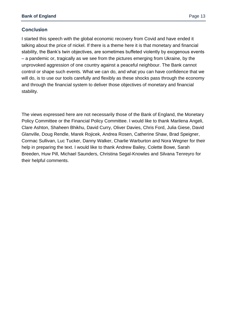## **Conclusion**

I started this speech with the global economic recovery from Covid and have ended it talking about the price of nickel. If there is a theme here it is that monetary and financial stability, the Bank's twin objectives, are sometimes buffeted violently by exogenous events – a pandemic or, tragically as we see from the pictures emerging from Ukraine, by the unprovoked aggression of one country against a peaceful neighbour. The Bank cannot control or shape such events. What we can do, and what you can have confidence that we will do, is to use our tools carefully and flexibly as these shocks pass through the economy and through the financial system to deliver those objectives of monetary and financial stability.

The views expressed here are not necessarily those of the Bank of England, the Monetary Policy Committee or the Financial Policy Committee. I would like to thank Marilena Angeli, Clare Ashton, Shaheen Bhikhu, David Curry, Oliver Davies, Chris Ford, Julia Giese, David Glanville, Doug Rendle, Marek Rojicek, Andrea Rosen, Catherine Shaw, Brad Speigner, Cormac Sullivan, Luc Tucker, Danny Walker, Charlie Warburton and Nora Wegner for their help in preparing the text. I would like to thank Andrew Bailey, Colette Bowe, Sarah Breeden, Huw Pill, Michael Saunders, Christina Segal-Knowles and Silvana Tenreyro for their helpful comments.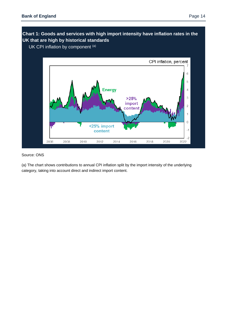## **Chart 1: Goods and services with high import intensity have inflation rates in the UK that are high by historical standards**

UK CPI inflation by component (a)



#### Source: ONS

(a) The chart shows contributions to annual CPI inflation split by the import intensity of the underlying category, taking into account direct and indirect import content.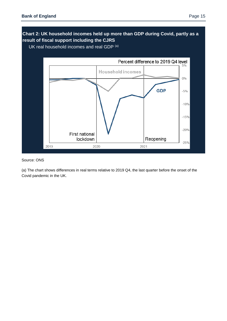

#### Source: ONS

(a) The chart shows differences in real terms relative to 2019 Q4, the last quarter before the onset of the Covid pandemic in the UK.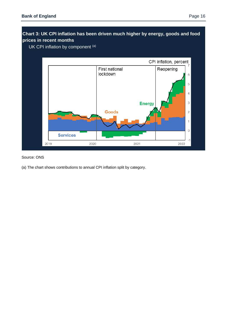## **Chart 3: UK CPI inflation has been driven much higher by energy, goods and food prices in recent months**

UK CPI inflation by component (a)



#### Source: ONS

(a) The chart shows contributions to annual CPI inflation split by category.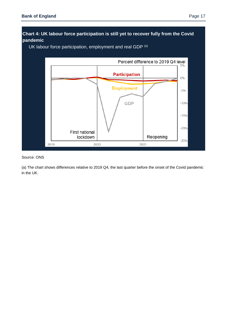## **Chart 4: UK labour force participation is still yet to recover fully from the Covid pandemic**

UK labour force participation, employment and real GDP (a)



#### Source: ONS

(a) The chart shows differences relative to 2019 Q4, the last quarter before the onset of the Covid pandemic in the UK.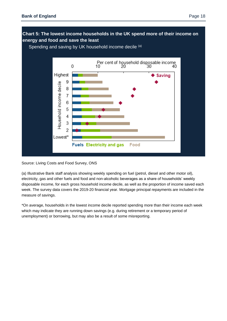

Source: Living Costs and Food Survey, ONS

(a) Illustrative Bank staff analysis showing weekly spending on fuel (petrol, diesel and other motor oil), electricity, gas and other fuels and food and non-alcoholic beverages as a share of households' weekly disposable income, for each gross household income decile, as well as the proportion of income saved each week. The survey data covers the 2019-20 financial year. Mortgage principal repayments are included in the measure of savings.

\*On average, households in the lowest income decile reported spending more than their income each week which may indicate they are running down savings (e.g. during retirement or a temporary period of unemployment) or borrowing, but may also be a result of some misreporting.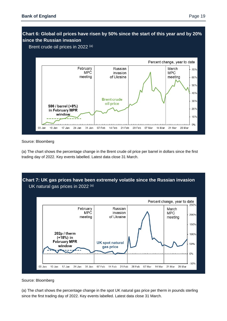## **Chart 6: Global oil prices have risen by 50% since the start of this year and by 20% since the Russian invasion**

Brent crude oil prices in 2022 (a)



#### Source: Bloomberg

(a) The chart shows the percentage change in the Brent crude oil price per barrel in dollars since the first trading day of 2022. Key events labelled. Latest data close 31 March.



#### Source: Bloomberg

(a) The chart shows the percentage change in the spot UK natural gas price per therm in pounds sterling since the first trading day of 2022. Key events labelled. Latest data close 31 March.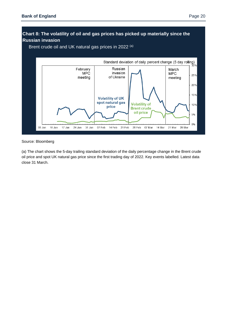## **Chart 8: The volatility of oil and gas prices has picked up materially since the Russian invasion**

Brent crude oil and UK natural gas prices in 2022 (a)



Source: Bloomberg

(a) The chart shows the 5-day trailing standard deviation of the daily percentage change in the Brent crude oil price and spot UK natural gas price since the first trading day of 2022. Key events labelled. Latest data close 31 March.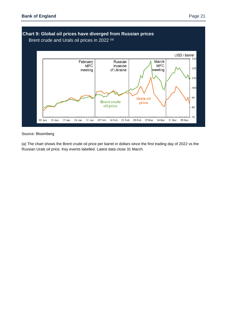

Source: Bloomberg

(a) The chart shows the Brent crude oil price per barrel in dollars since the first trading day of 2022 vs the Russian Urals oil price. Key events labelled. Latest data close 31 March.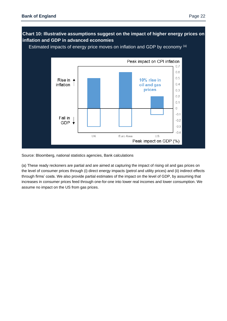

Source: Bloomberg, national statistics agencies, Bank calculations

(a) These ready reckoners are partial and are aimed at capturing the impact of rising oil and gas prices on the level of consumer prices through (i) direct energy impacts (petrol and utility prices) and (ii) indirect effects through firms' costs. We also provide partial estimates of the impact on the level of GDP, by assuming that increases in consumer prices feed through one-for-one into lower real incomes and lower consumption. We assume no impact on the US from gas prices.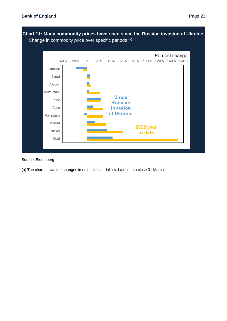

**Chart 11: Many commodity prices have risen since the Russian invasion of Ukraine**

#### Source: Bloomberg

(a) The chart shows the changes in unit prices in dollars. Latest data close 31 March.